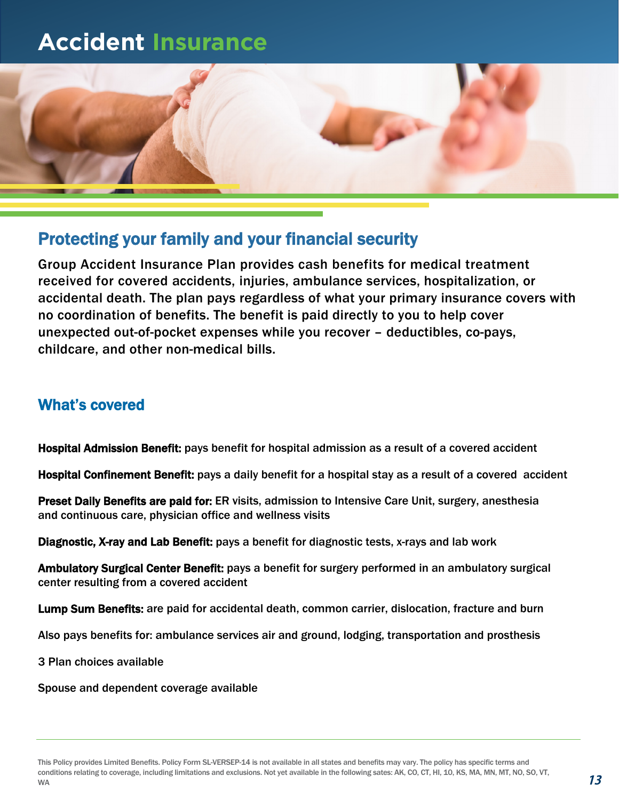# **Accident Insurance**



## Protecting your family and your financial security

Group Accident Insurance Plan provides cash benefits for medical treatment received for covered accidents, injuries, ambulance services, hospitalization, or accidental death. The plan pays regardless of what your primary insurance covers with no coordination of benefits. The benefit is paid directly to you to help cover unexpected out-of-pocket expenses while you recover – deductibles, co-pays, childcare, and other non-medical bills.

### What's covered

Hospital Admission Benefit: pays benefit for hospital admission as a result of a covered accident

Hospital Confinement Benefit: pays a daily benefit for a hospital stay as a result of a covered accident

Preset Daily Benefits are paid for: ER visits, admission to Intensive Care Unit, surgery, anesthesia and continuous care, physician office and wellness visits

Diagnostic, X-ray and Lab Benefit: pays a benefit for diagnostic tests, x-rays and lab work

Ambulatory Surgical Center Benefit: pays a benefit for surgery performed in an ambulatory surgical center resulting from a covered accident

Lump Sum Benefits: are paid for accidental death, common carrier, dislocation, fracture and burn

Also pays benefits for: ambulance services air and ground, lodging, transportation and prosthesis

3 Plan choices available

Spouse and dependent coverage available

This Policy provides Limited Benefits. Policy Form SL-VERSEP-14 is not available in all states and benefits may vary. The policy has specific terms and conditions relating to coverage, including limitations and exclusions. Not yet available in the following sates: AK, CO, CT, HI, 10, KS, MA, MN, MT, NO, SO, VT, WA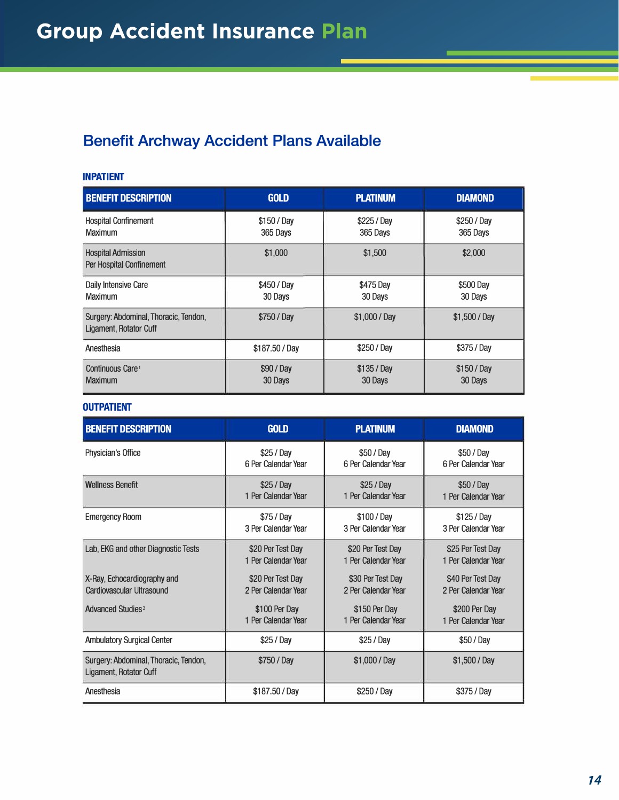## **Benefit Archway Accident Plans Available**

#### **INPATIENT**

| <b>BENEFIT DESCRIPTION</b>                                      | <b>GOLD</b>             | <b>PLATINUM</b>         | <b>DIAMOND</b>          |
|-----------------------------------------------------------------|-------------------------|-------------------------|-------------------------|
| <b>Hospital Confinement</b><br><b>Maximum</b>                   | \$150 / Day<br>365 Days | \$225 / Day<br>365 Days | \$250 / Day<br>365 Days |
| <b>Hospital Admission</b><br>Per Hospital Confinement           | \$1,000                 | \$1,500                 | \$2,000                 |
| Daily Intensive Care<br><b>Maximum</b>                          | \$450 / Day<br>30 Days  | \$475 Day<br>30 Days    | \$500 Day<br>30 Days    |
| Surgery: Abdominal, Thoracic, Tendon,<br>Ligament, Rotator Cuff | \$750 / Day             | \$1,000 / Day           | $$1,500 /$ Day          |
| Anesthesia                                                      | \$187.50 / Day          | \$250 / Day             | \$375 / Day             |
| Continuous Care <sup>1</sup><br><b>Maximum</b>                  | \$90 / Day<br>30 Days   | $$135/$ Day<br>30 Days  | \$150 / Day<br>30 Days  |

#### **OUTPATIENT**

| <b>BENEFIT DESCRIPTION</b>                                      | <b>GOLD</b>         | <b>PLATINUM</b>     | <b>DIAMOND</b>      |
|-----------------------------------------------------------------|---------------------|---------------------|---------------------|
| Physician's Office                                              | \$25 / Day          | \$50 / Day          | \$50 / Day          |
|                                                                 | 6 Per Calendar Year | 6 Per Calendar Year | 6 Per Calendar Year |
| <b>Wellness Benefit</b>                                         | \$25/Day            | \$25/Day            | \$50 / Day          |
|                                                                 | 1 Per Calendar Year | 1 Per Calendar Year | 1 Per Calendar Year |
| <b>Emergency Room</b>                                           | $$75/$ Day          | \$100 / Day         | $$125/$ Day         |
|                                                                 | 3 Per Calendar Year | 3 Per Calendar Year | 3 Per Calendar Year |
| Lab, EKG and other Diagnostic Tests                             | \$20 Per Test Day   | \$20 Per Test Day   | \$25 Per Test Day   |
|                                                                 | 1 Per Calendar Year | 1 Per Calendar Year | 1 Per Calendar Year |
| X-Ray, Echocardiography and                                     | \$20 Per Test Day   | \$30 Per Test Day   | \$40 Per Test Day   |
| <b>Cardiovascular Ultrasound</b>                                | 2 Per Calendar Year | 2 Per Calendar Year | 2 Per Calendar Year |
| Advanced Studies <sup>2</sup>                                   | \$100 Per Day       | \$150 Per Day       | \$200 Per Day       |
|                                                                 | 1 Per Calendar Year | 1 Per Calendar Year | 1 Per Calendar Year |
| <b>Ambulatory Surgical Center</b>                               | \$25/Day            | \$25 / Day          | \$50 / Day          |
| Surgery: Abdominal, Thoracic, Tendon,<br>Ligament, Rotator Cuff | \$750 / Day         | \$1,000 / Day       | \$1,500 / Day       |
| Anesthesia                                                      | \$187.50 / Day      | \$250 / Day         | \$375 / Day         |